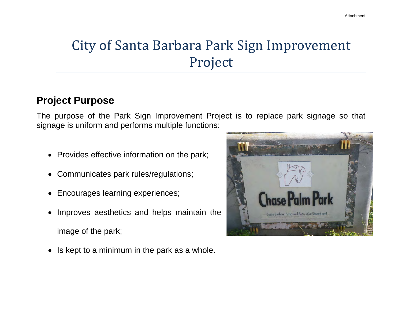# City of Santa Barbara Park Sign Improvement Project

### **Project Purpose**

The purpose of the Park Sign Improvement Project is to replace park signage so that signage is uniform and performs multiple functions:

- Provides effective information on the park;
- Communicates park rules/regulations;
- Encourages learning experiences;
- Improves aesthetics and helps maintain the image of the park;
- Is kept to a minimum in the park as a whole.

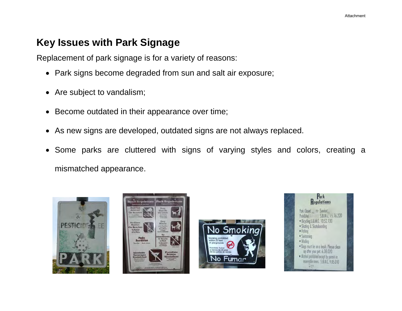#### **Key Issues with Park Signage**

Replacement of park signage is for a variety of reasons:

- Park signs become degraded from sun and salt air exposure;
- Are subject to vandalism;
- Become outdated in their appearance over time;
- As new signs are developed, outdated signs are not always replaced.
- Some parks are cluttered with signs of varying styles and colors, creating a mismatched appearance.







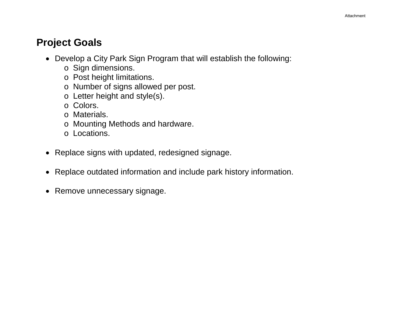### **Project Goals**

- Develop a City Park Sign Program that will establish the following:
	- o Sign dimensions.
	- o Post height limitations.
	- o Number of signs allowed per post.
	- o Letter height and style(s).
	- o Colors.
	- o Materials.
	- o Mounting Methods and hardware.
	- o Locations.
- Replace signs with updated, redesigned signage.
- Replace outdated information and include park history information.
- Remove unnecessary signage.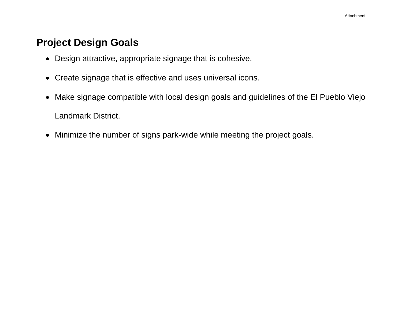#### **Project Design Goals**

- Design attractive, appropriate signage that is cohesive.
- Create signage that is effective and uses universal icons.
- Make signage compatible with local design goals and guidelines of the El Pueblo Viejo Landmark District.
- Minimize the number of signs park-wide while meeting the project goals.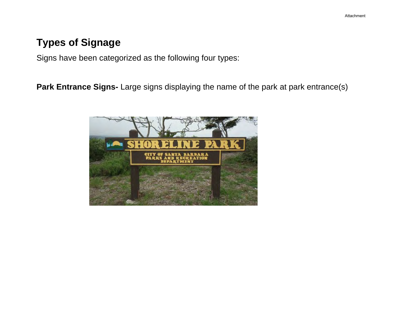## **Types of Signage**

Signs have been categorized as the following four types:

Park Entrance Signs- Large signs displaying the name of the park at park entrance(s)

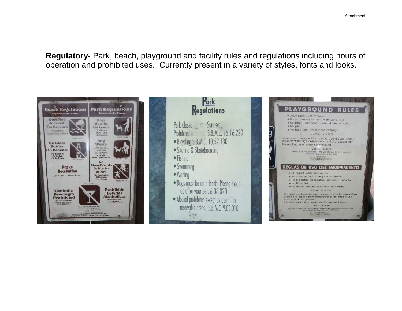**Regulatory**- Park, beach, playground and facility rules and regulations including hours of operation and prohibited uses. Currently present in a variety of styles, fonts and looks.

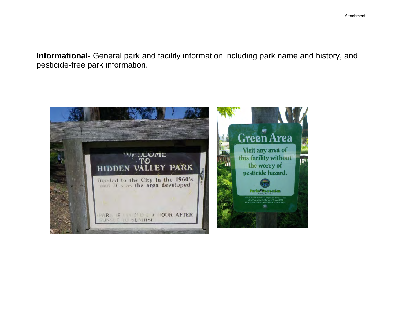**Informational-** General park and facility information including park name and history, and pesticide-free park information.